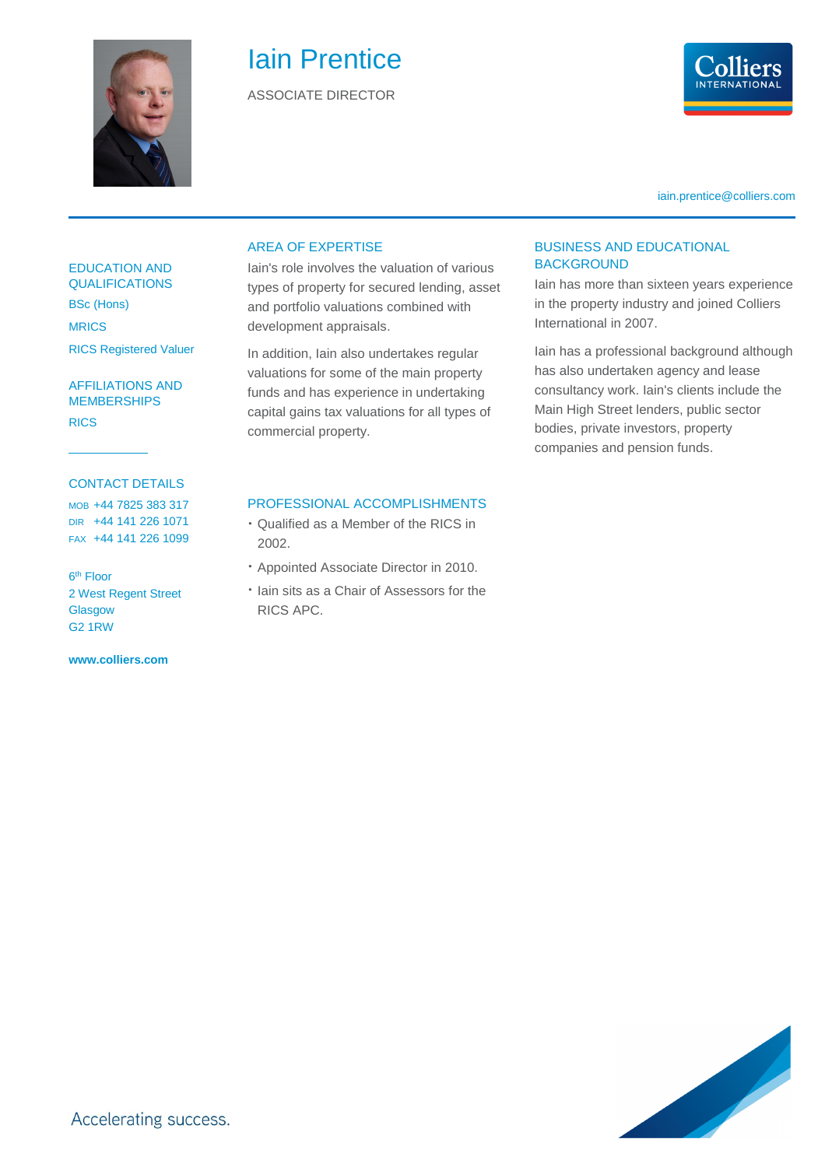

# Iain Prentice

ASSOCIATE DIRECTOR



iain.prentice@colliers.com

#### EDUCATION AND QUALIFICATIONS

BSc (Hons) MRICS RICS Registered Valuer

AFFILIATIONS AND **MEMBERSHIPS** RICS

#### CONTACT DETAILS

MOB +44 7825 383 317 DIR +44 141 226 1071 FAX +44 141 226 1099

6<sup>th</sup> Floor 2 West Regent Street **Glasgow** G2 1RW

**www.colliers.com** 

#### AREA OF EXPERTISE

Iain's role involves the valuation of various types of property for secured lending, asset and portfolio valuations combined with development appraisals.

In addition, Iain also undertakes regular valuations for some of the main property funds and has experience in undertaking capital gains tax valuations for all types of commercial property.

#### BUSINESS AND EDUCATIONAL **BACKGROUND**

Iain has more than sixteen years experience in the property industry and joined Colliers International in 2007.

Iain has a professional background although has also undertaken agency and lease consultancy work. Iain's clients include the Main High Street lenders, public sector bodies, private investors, property companies and pension funds.

#### PROFESSIONAL ACCOMPLISHMENTS

- Qualified as a Member of the RICS in 2002.
- Appointed Associate Director in 2010.
- Iain sits as a Chair of Assessors for the RICS APC.